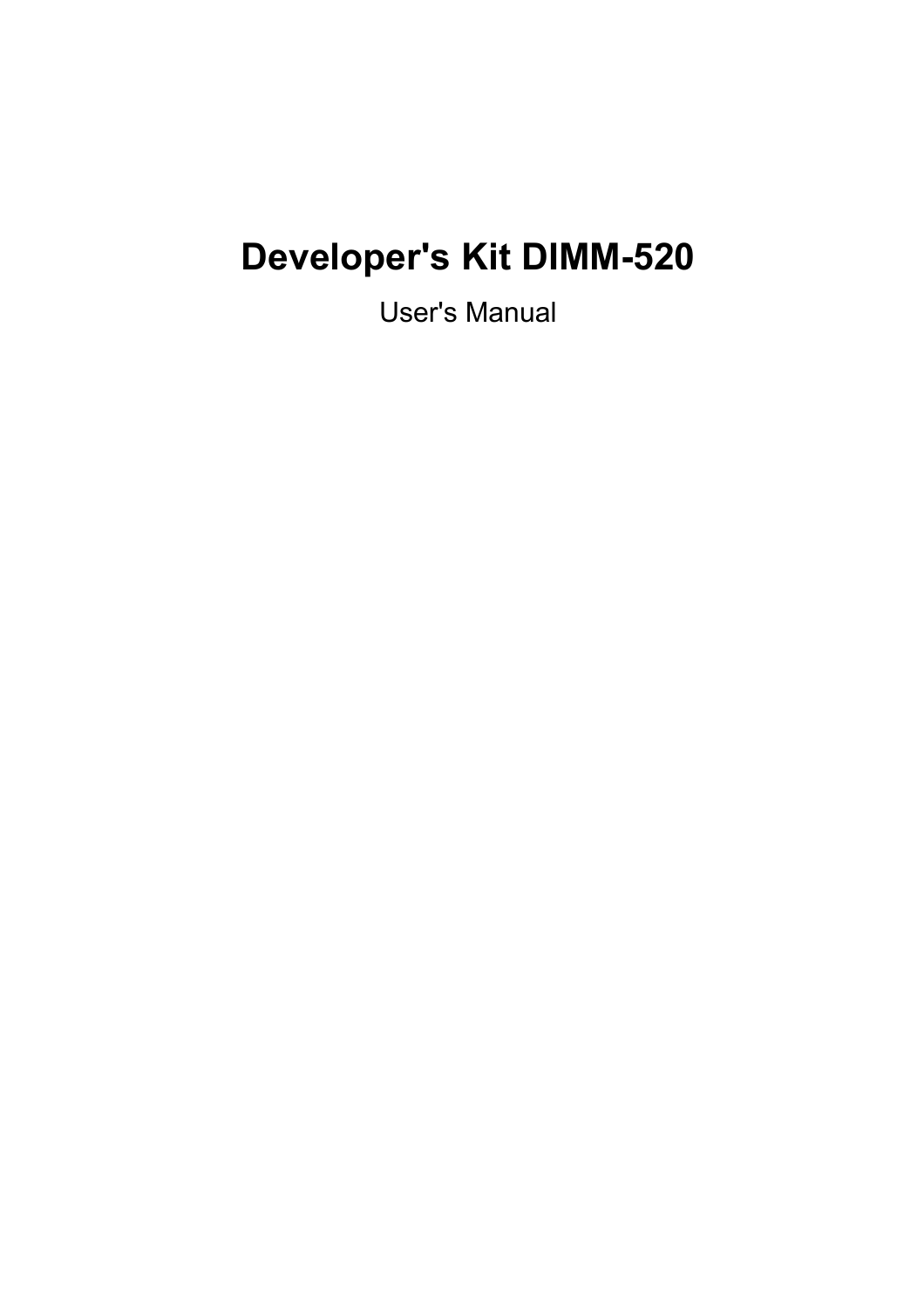# **Developer's Kit DIMM-520**

User's Manual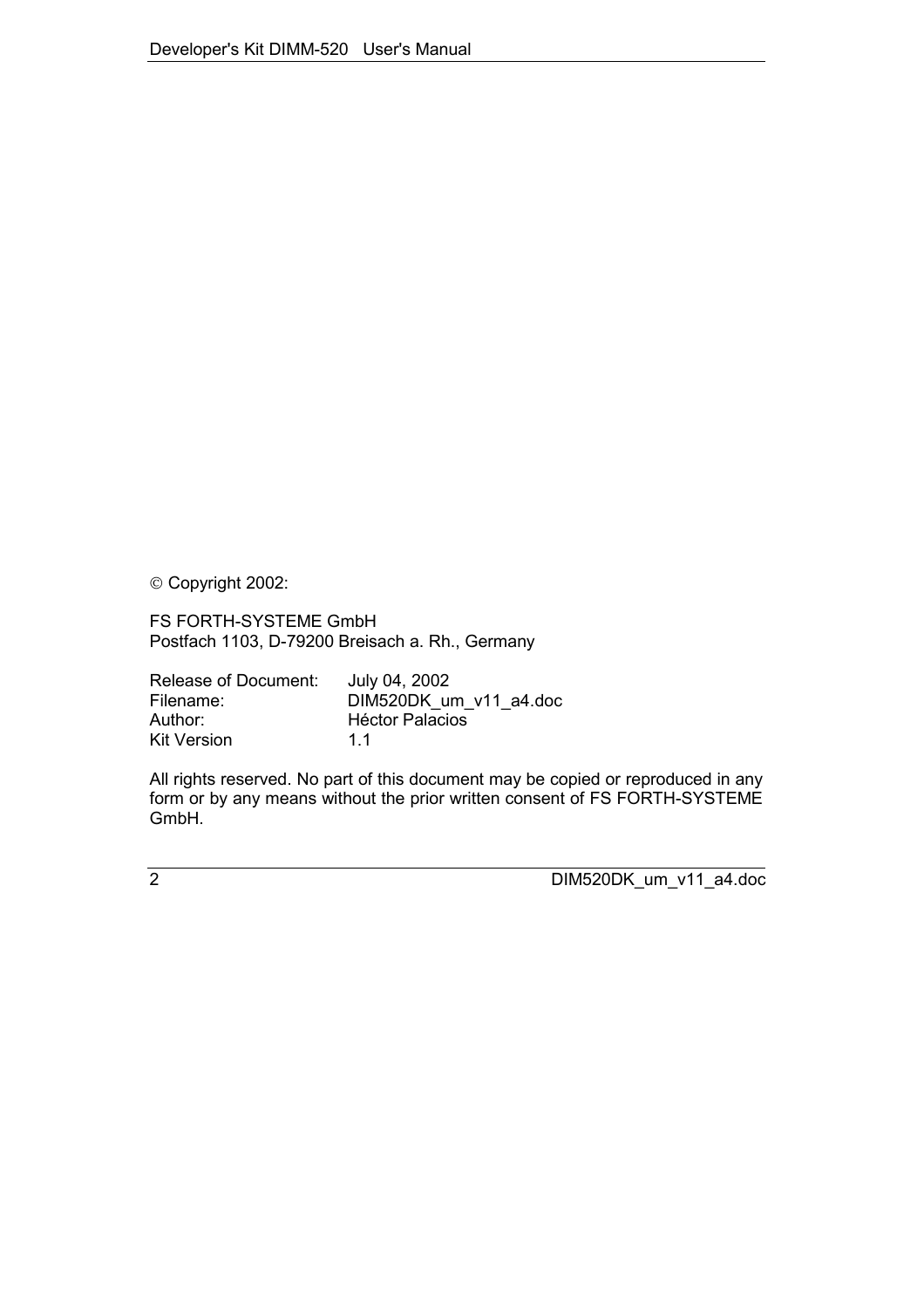Copyright 2002:

FS FORTH-SYSTEME GmbH Postfach 1103, D-79200 Breisach a. Rh., Germany

| Release of Document: | July 04, 2002          |
|----------------------|------------------------|
| Filename:            | DIM520DK um v11 a4.doc |
| Author:              | <b>Héctor Palacios</b> |
| <b>Kit Version</b>   | 11                     |

All rights reserved. No part of this document may be copied or reproduced in any form or by any means without the prior written consent of FS FORTH-SYSTEME GmbH.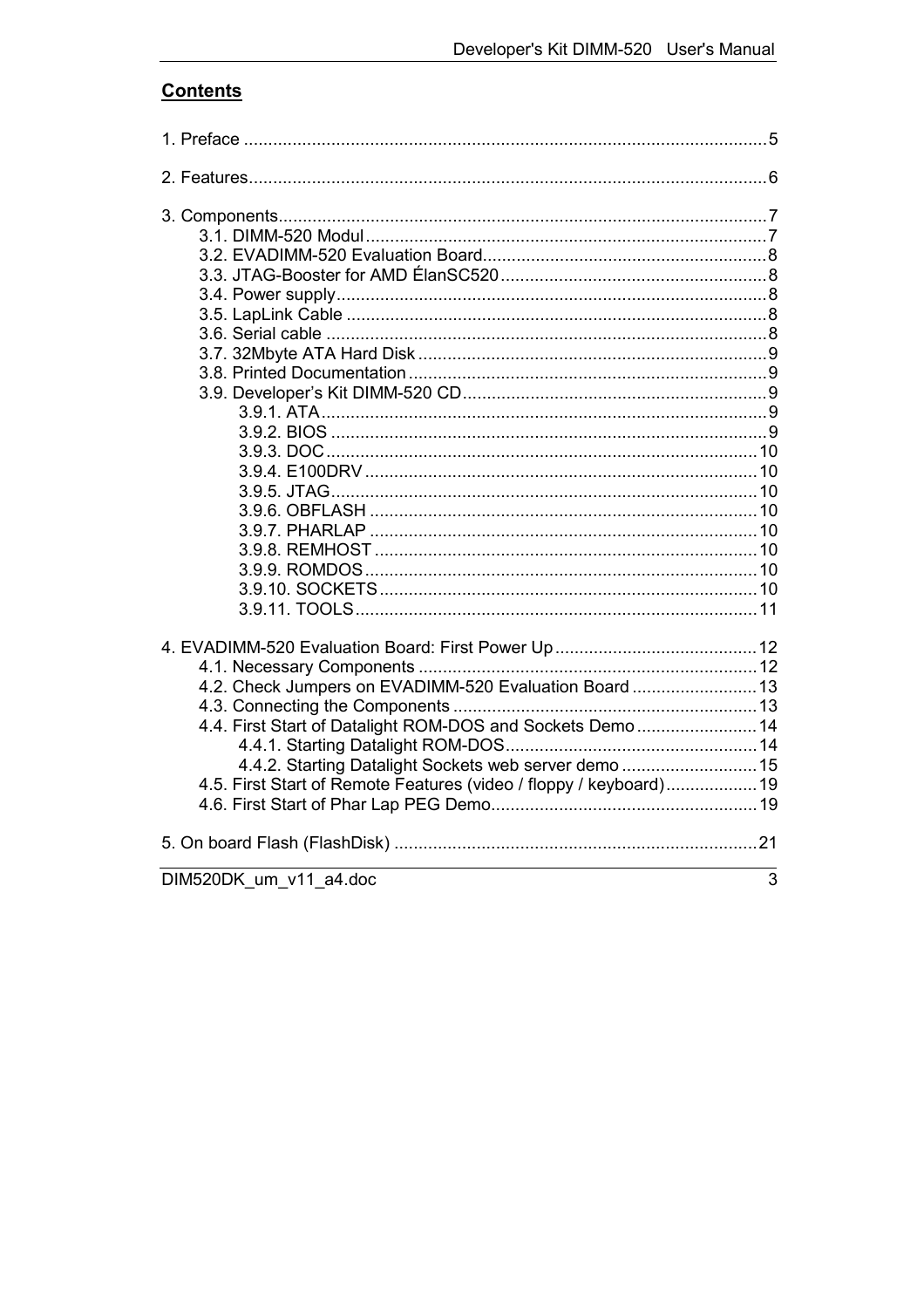# **Contents**

| 4.2. Check Jumpers on EVADIMM-520 Evaluation Board  13<br>4.4. First Start of Datalight ROM-DOS and Sockets Demo  14<br>4.4.2. Starting Datalight Sockets web server demo  15<br>4.5. First Start of Remote Features (video / floppy / keyboard)19 |   |
|----------------------------------------------------------------------------------------------------------------------------------------------------------------------------------------------------------------------------------------------------|---|
|                                                                                                                                                                                                                                                    |   |
| DIM520DK um v11 a4.doc                                                                                                                                                                                                                             | 3 |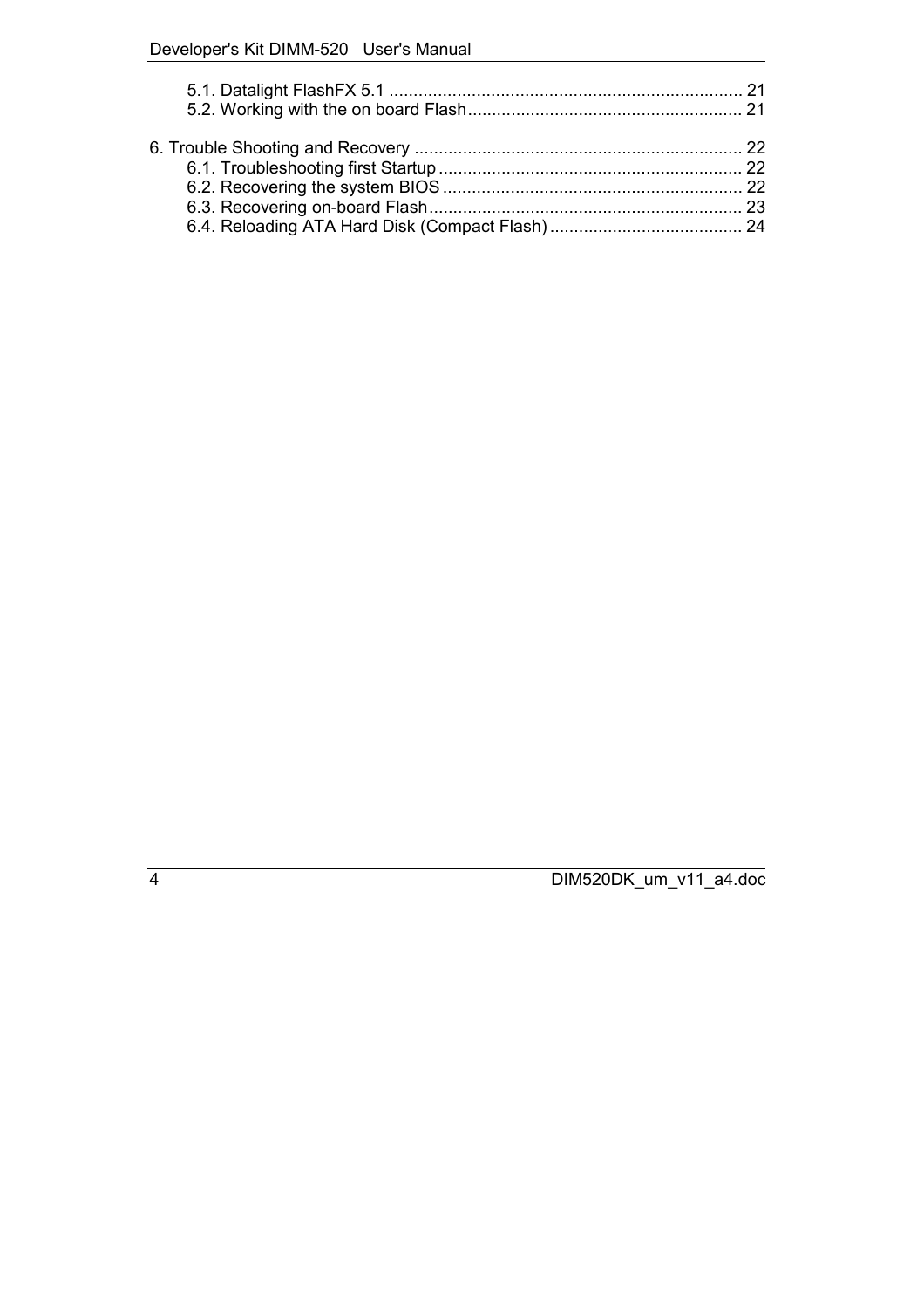# Developer's Kit DIMM-520 User's Manual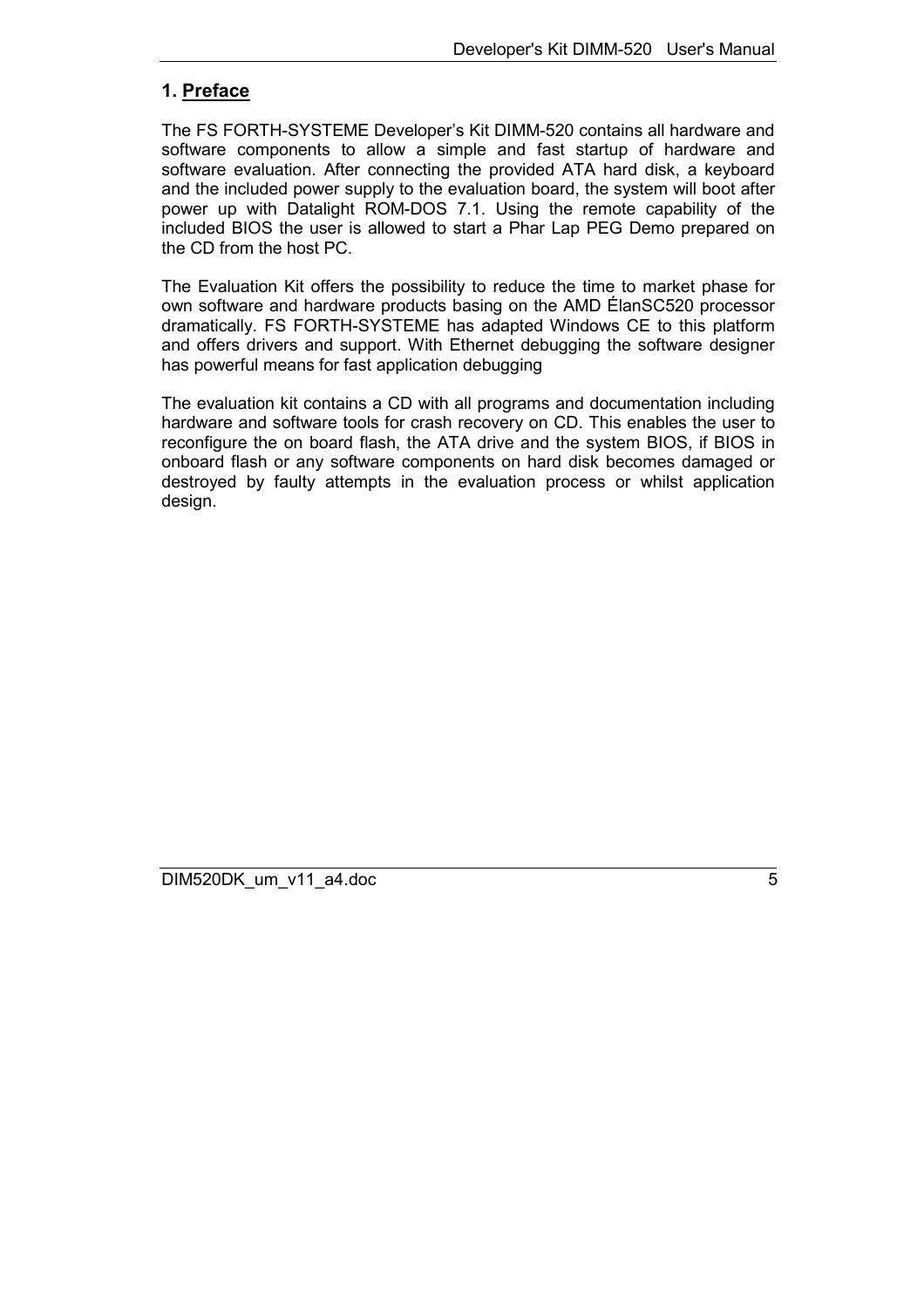## <span id="page-4-0"></span>**1. Preface**

The FS FORTH-SYSTEME Developer's Kit DIMM-520 contains all hardware and software components to allow a simple and fast startup of hardware and software evaluation. After connecting the provided ATA hard disk, a keyboard and the included power supply to the evaluation board, the system will boot after power up with Datalight ROM-DOS 7.1. Using the remote capability of the included BIOS the user is allowed to start a Phar Lap PEG Demo prepared on the CD from the host PC.

The Evaluation Kit offers the possibility to reduce the time to market phase for own software and hardware products basing on the AMD ÉlanSC520 processor dramatically. FS FORTH-SYSTEME has adapted Windows CE to this platform and offers drivers and support. With Ethernet debugging the software designer has powerful means for fast application debugging

The evaluation kit contains a CD with all programs and documentation including hardware and software tools for crash recovery on CD. This enables the user to reconfigure the on board flash, the ATA drive and the system BIOS, if BIOS in onboard flash or any software components on hard disk becomes damaged or destroyed by faulty attempts in the evaluation process or whilst application design.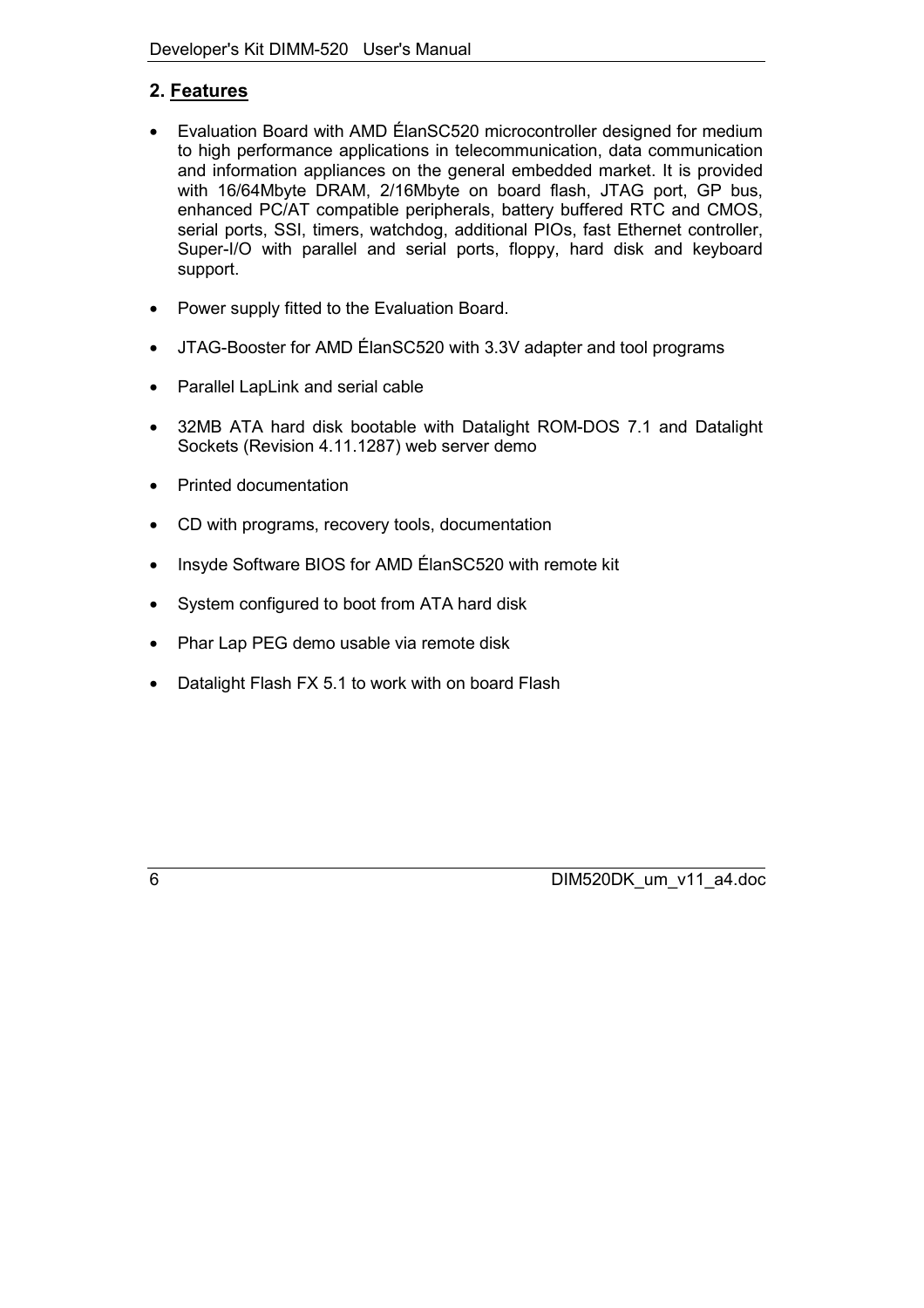# <span id="page-5-0"></span>**2. Features**

- Evaluation Board with AMD ÉlanSC520 microcontroller designed for medium to high performance applications in telecommunication, data communication and information appliances on the general embedded market. It is provided with 16/64Mbyte DRAM, 2/16Mbyte on board flash, JTAG port, GP bus, enhanced PC/AT compatible peripherals, battery buffered RTC and CMOS, serial ports, SSI, timers, watchdog, additional PIOs, fast Ethernet controller, Super-I/O with parallel and serial ports, floppy, hard disk and keyboard support.
- Power supply fitted to the Evaluation Board.
- JTAG-Booster for AMD ÉlanSC520 with 3.3V adapter and tool programs
- Parallel LapLink and serial cable
- 32MB ATA hard disk bootable with Datalight ROM-DOS 7.1 and Datalight Sockets (Revision 4.11.1287) web server demo
- Printed documentation
- CD with programs, recovery tools, documentation
- Insyde Software BIOS for AMD ÉlanSC520 with remote kit
- System configured to boot from ATA hard disk
- Phar Lap PEG demo usable via remote disk
- Datalight Flash FX 5.1 to work with on board Flash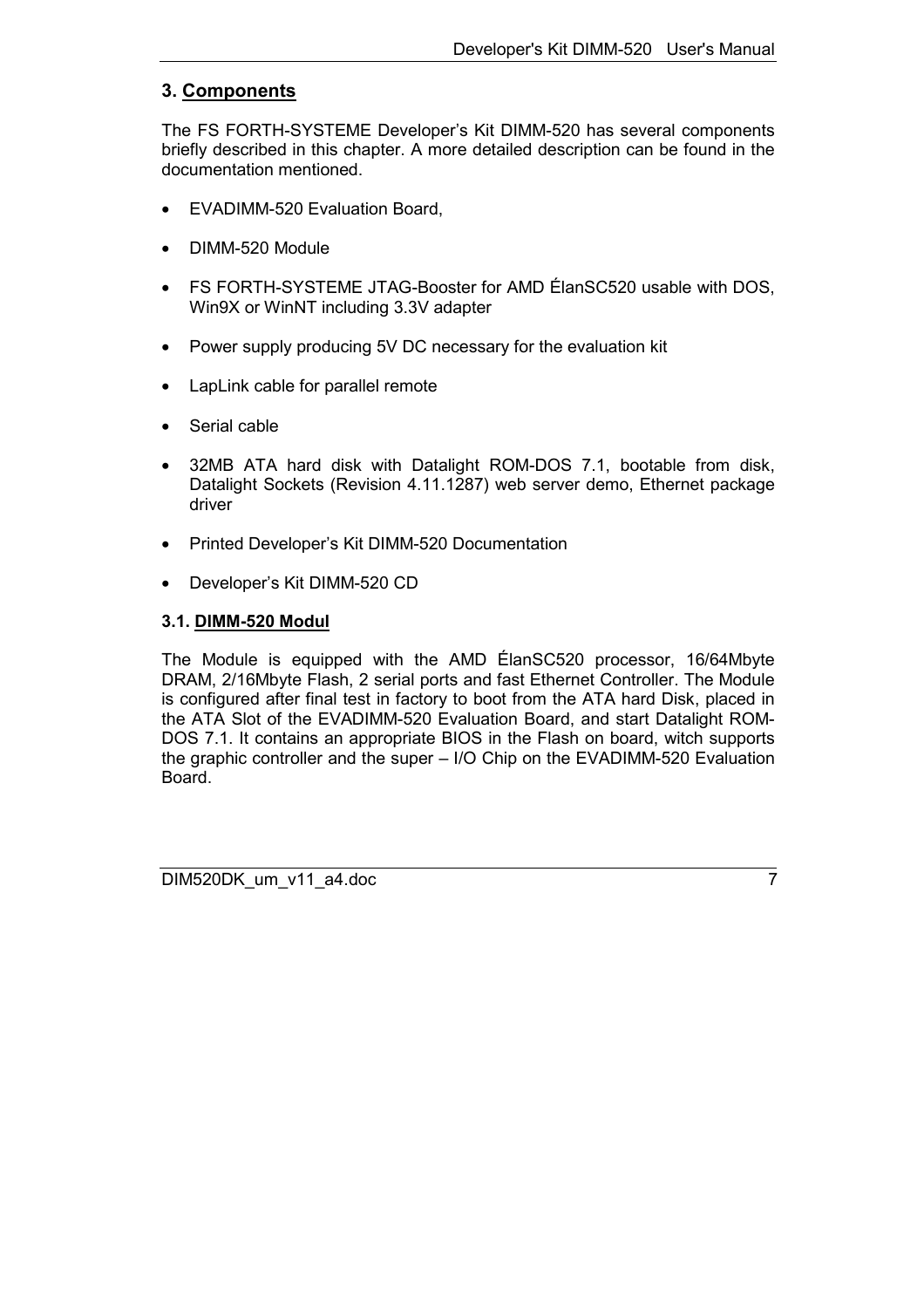## <span id="page-6-0"></span>**3. Components**

The FS FORTH-SYSTEME Developer's Kit DIMM-520 has several components briefly described in this chapter. A more detailed description can be found in the documentation mentioned.

- EVADIMM-520 Evaluation Board,
- DIMM-520 Module
- FS FORTH-SYSTEME JTAG-Booster for AMD ÉlanSC520 usable with DOS, Win9X or WinNT including 3.3V adapter
- Power supply producing 5V DC necessary for the evaluation kit
- LapLink cable for parallel remote
- Serial cable
- 32MB ATA hard disk with Datalight ROM-DOS 7.1, bootable from disk, Datalight Sockets (Revision 4.11.1287) web server demo, Ethernet package driver
- Printed Developer's Kit DIMM-520 Documentation
- Developer's Kit DIMM-520 CD

#### **3.1. DIMM-520 Modul**

The Module is equipped with the AMD ÉlanSC520 processor, 16/64Mbyte DRAM, 2/16Mbyte Flash, 2 serial ports and fast Ethernet Controller. The Module is configured after final test in factory to boot from the ATA hard Disk, placed in the ATA Slot of the EVADIMM-520 Evaluation Board, and start Datalight ROM-DOS 7.1. It contains an appropriate BIOS in the Flash on board, witch supports the graphic controller and the super – I/O Chip on the EVADIMM-520 Evaluation Board.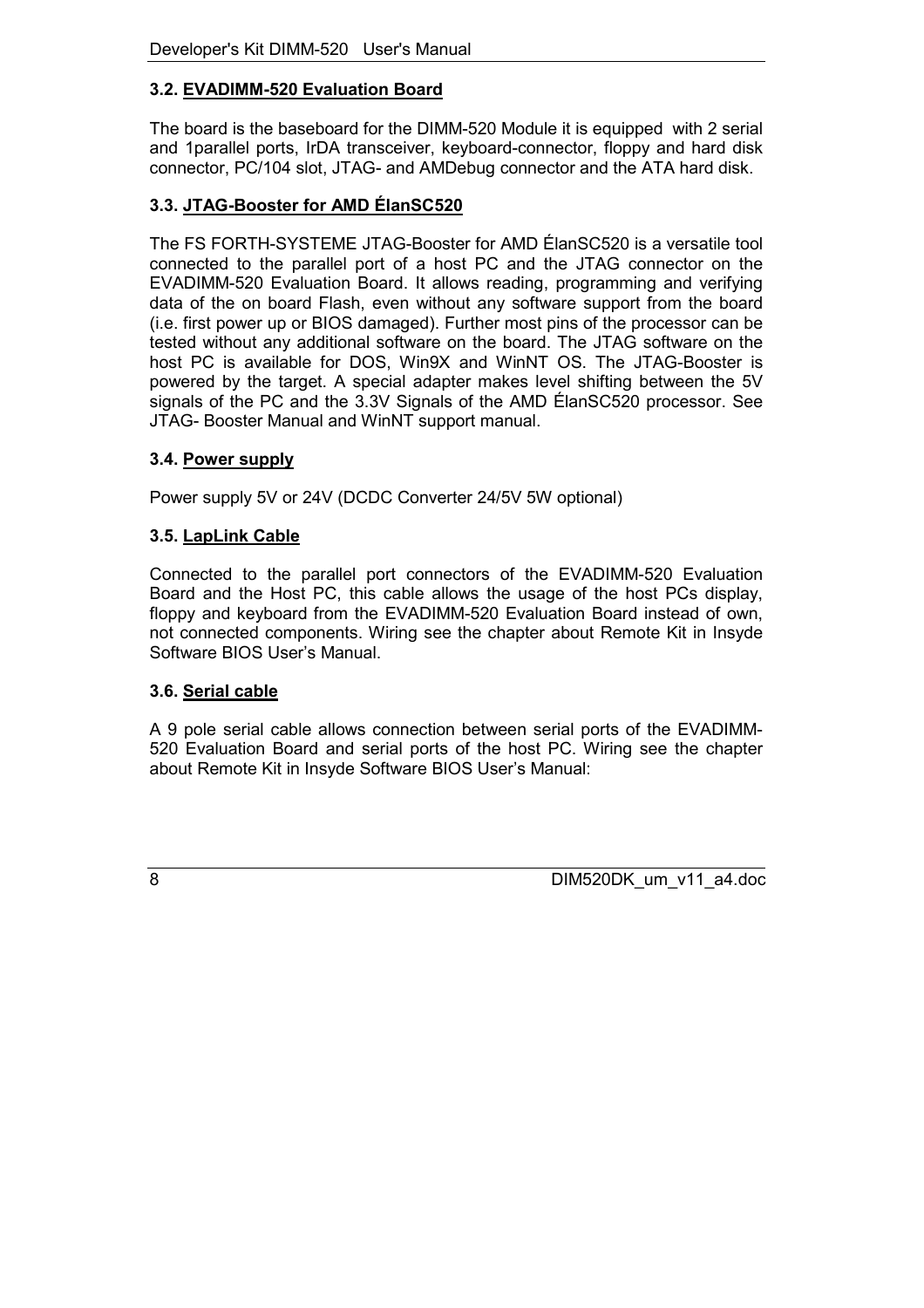# <span id="page-7-0"></span>**3.2. EVADIMM-520 Evaluation Board**

The board is the baseboard for the DIMM-520 Module it is equipped with 2 serial and 1parallel ports, IrDA transceiver, keyboard-connector, floppy and hard disk connector, PC/104 slot, JTAG- and AMDebug connector and the ATA hard disk.

## **3.3. JTAG-Booster for AMD ÉlanSC520**

The FS FORTH-SYSTEME JTAG-Booster for AMD ÉlanSC520 is a versatile tool connected to the parallel port of a host PC and the JTAG connector on the EVADIMM-520 Evaluation Board. It allows reading, programming and verifying data of the on board Flash, even without any software support from the board (i.e. first power up or BIOS damaged). Further most pins of the processor can be tested without any additional software on the board. The JTAG software on the host PC is available for DOS, Win9X and WinNT OS. The JTAG-Booster is powered by the target. A special adapter makes level shifting between the 5V signals of the PC and the 3.3V Signals of the AMD ÉlanSC520 processor. See JTAG- Booster Manual and WinNT support manual.

#### **3.4. Power supply**

Power supply 5V or 24V (DCDC Converter 24/5V 5W optional)

## **3.5. LapLink Cable**

Connected to the parallel port connectors of the EVADIMM-520 Evaluation Board and the Host PC, this cable allows the usage of the host PCs display, floppy and keyboard from the EVADIMM-520 Evaluation Board instead of own, not connected components. Wiring see the chapter about Remote Kit in Insyde Software BIOS User's Manual.

#### **3.6. Serial cable**

A 9 pole serial cable allows connection between serial ports of the EVADIMM-520 Evaluation Board and serial ports of the host PC. Wiring see the chapter about Remote Kit in Insyde Software BIOS User's Manual: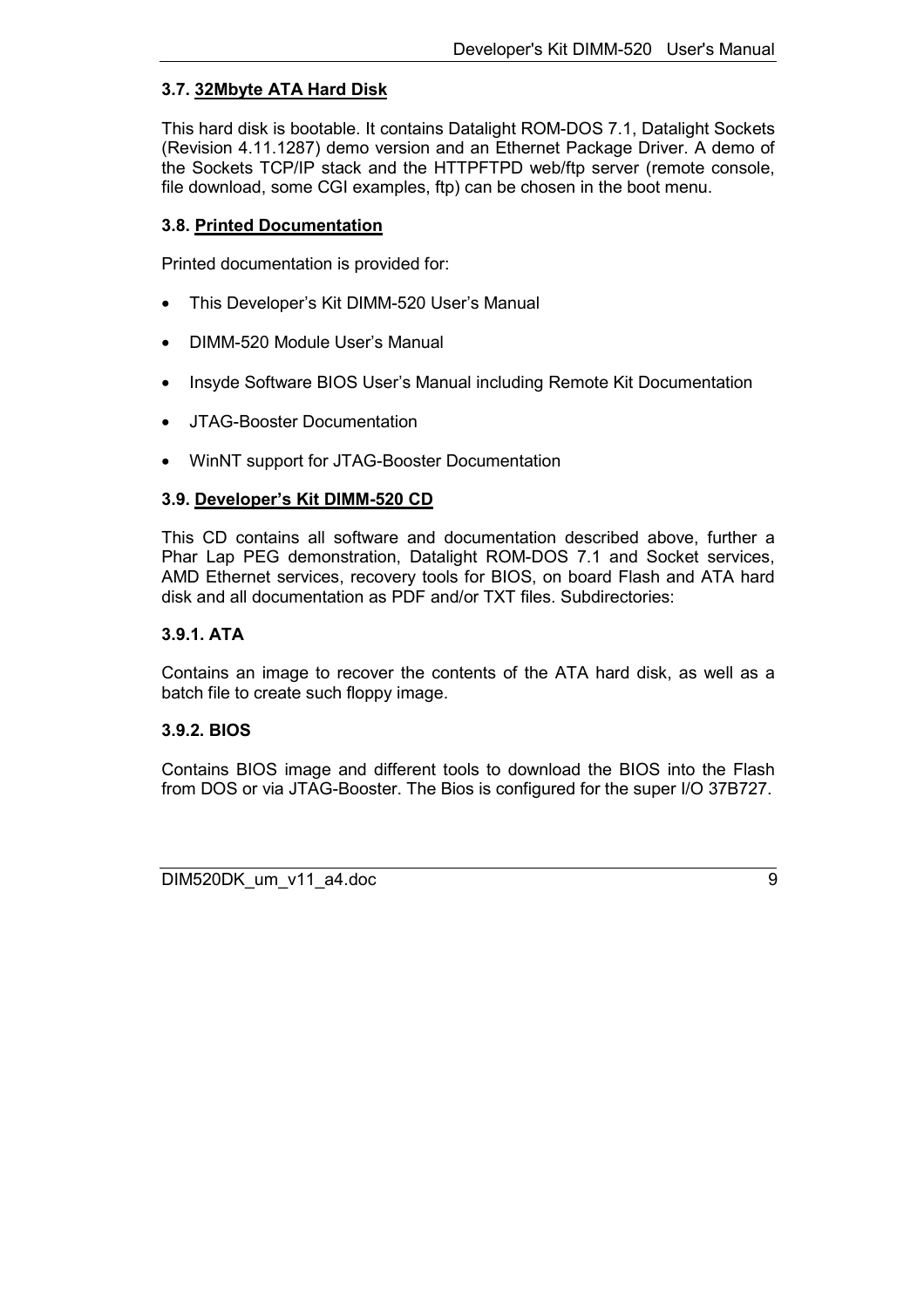## <span id="page-8-0"></span>**3.7. 32Mbyte ATA Hard Disk**

This hard disk is bootable. It contains Datalight ROM-DOS 7.1, Datalight Sockets (Revision 4.11.1287) demo version and an Ethernet Package Driver. A demo of the Sockets TCP/IP stack and the HTTPFTPD web/ftp server (remote console, file download, some CGI examples, ftp) can be chosen in the boot menu.

#### **3.8. Printed Documentation**

Printed documentation is provided for:

- This Developer's Kit DIMM-520 User's Manual
- DIMM-520 Module User's Manual
- Insyde Software BIOS User's Manual including Remote Kit Documentation
- JTAG-Booster Documentation
- WinNT support for JTAG-Booster Documentation

#### **3.9. Developer's Kit DIMM-520 CD**

This CD contains all software and documentation described above, further a Phar Lap PEG demonstration, Datalight ROM-DOS 7.1 and Socket services, AMD Ethernet services, recovery tools for BIOS, on board Flash and ATA hard disk and all documentation as PDF and/or TXT files. Subdirectories:

#### **3.9.1. ATA**

Contains an image to recover the contents of the ATA hard disk, as well as a batch file to create such floppy image.

#### **3.9.2. BIOS**

Contains BIOS image and different tools to download the BIOS into the Flash from DOS or via JTAG-Booster. The Bios is configured for the super I/O 37B727.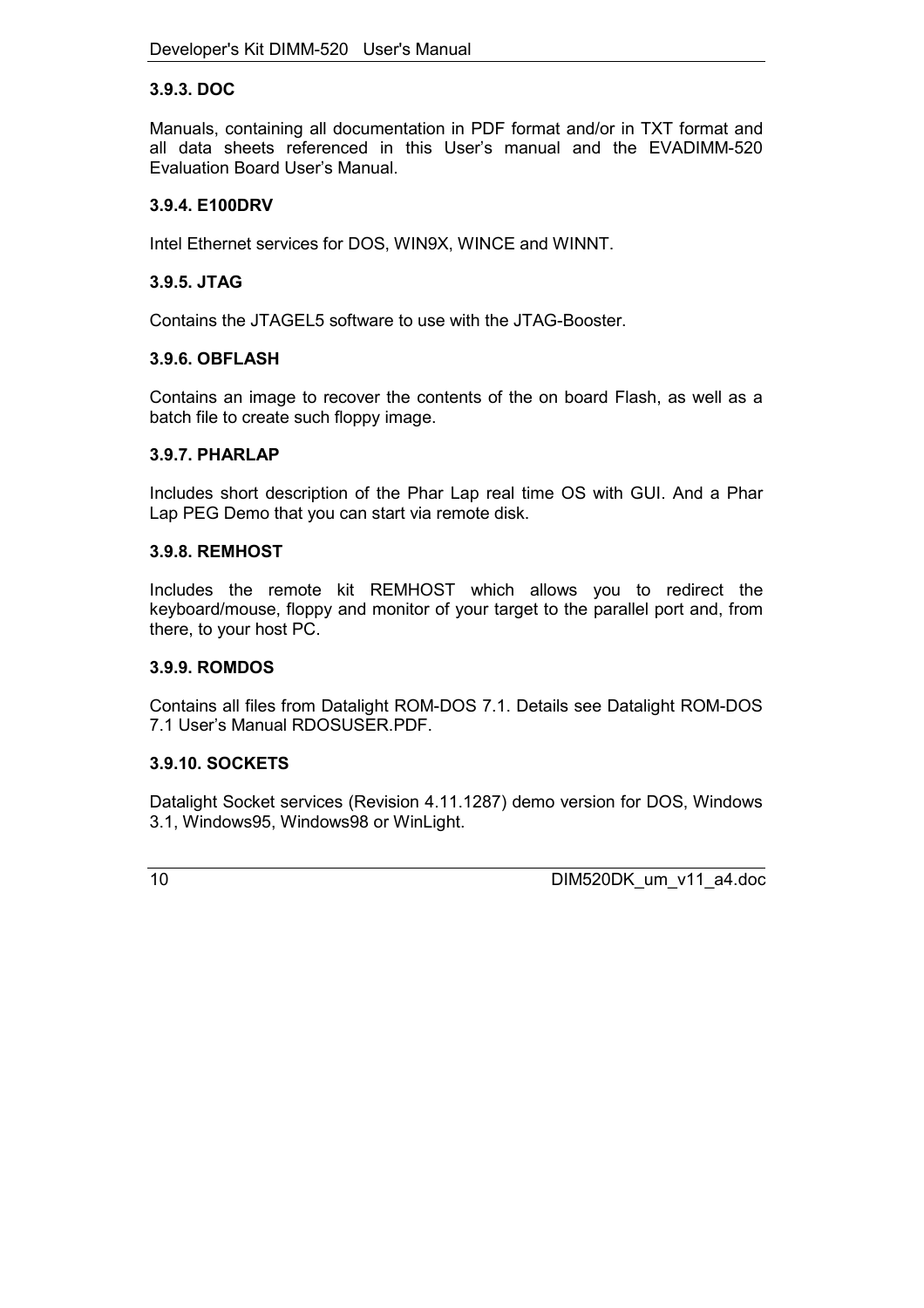#### <span id="page-9-0"></span>**3.9.3. DOC**

Manuals, containing all documentation in PDF format and/or in TXT format and all data sheets referenced in this User's manual and the EVADIMM-520 Evaluation Board User's Manual.

#### **3.9.4. E100DRV**

Intel Ethernet services for DOS, WIN9X, WINCE and WINNT.

#### **3.9.5. JTAG**

Contains the JTAGEL5 software to use with the JTAG-Booster.

#### **3.9.6. OBFLASH**

Contains an image to recover the contents of the on board Flash, as well as a batch file to create such floppy image.

#### **3.9.7. PHARLAP**

Includes short description of the Phar Lap real time OS with GUI. And a Phar Lap PEG Demo that you can start via remote disk.

#### **3.9.8. REMHOST**

Includes the remote kit REMHOST which allows you to redirect the keyboard/mouse, floppy and monitor of your target to the parallel port and, from there, to your host PC.

#### **3.9.9. ROMDOS**

Contains all files from Datalight ROM-DOS 7.1. Details see Datalight ROM-DOS 7.1 User's Manual RDOSUSER.PDF.

#### **3.9.10. SOCKETS**

Datalight Socket services (Revision 4.11.1287) demo version for DOS, Windows 3.1, Windows95, Windows98 or WinLight.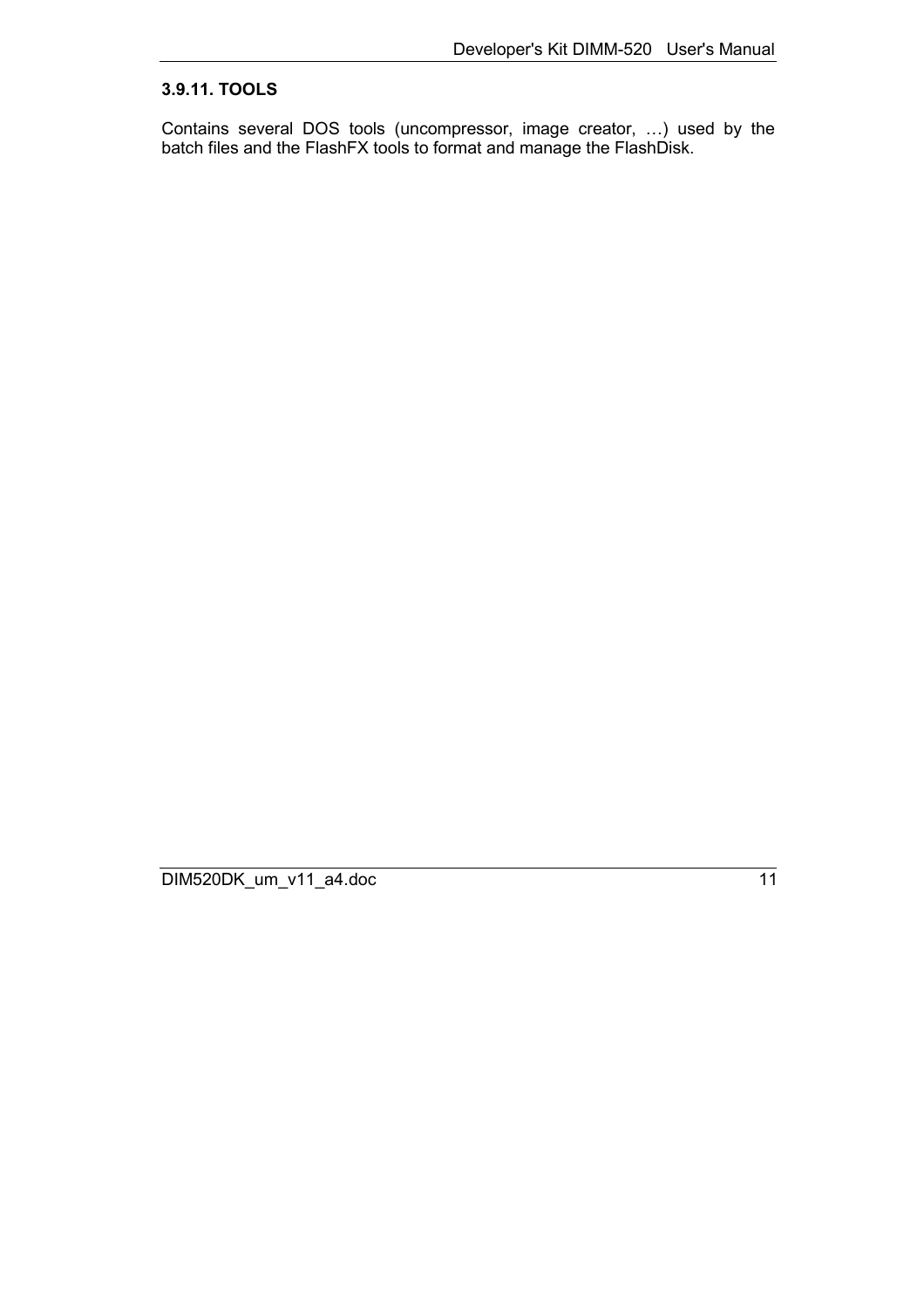# <span id="page-10-0"></span>**3.9.11. TOOLS**

Contains several DOS tools (uncompressor, image creator, …) used by the batch files and the FlashFX tools to format and manage the FlashDisk.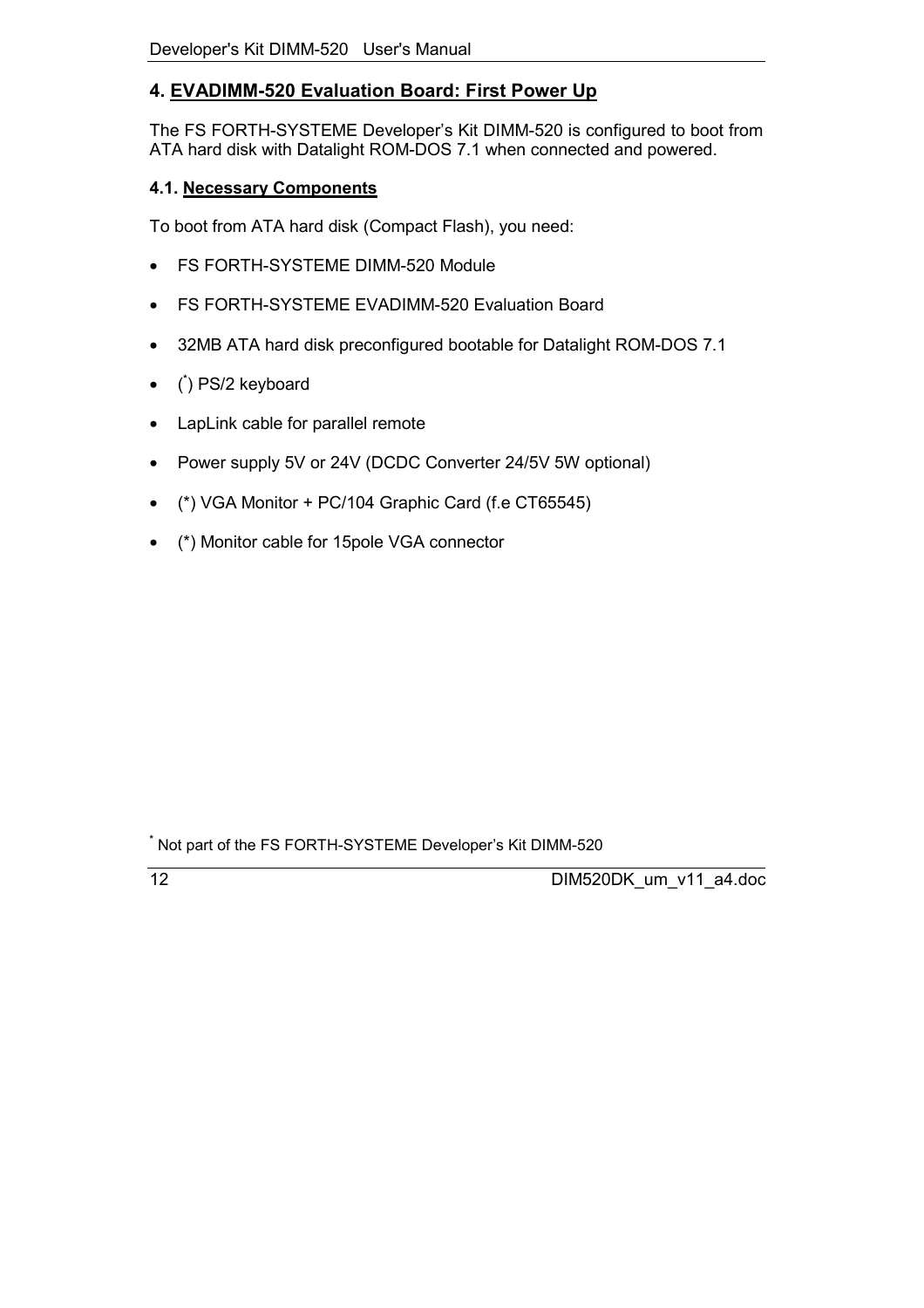# <span id="page-11-0"></span>**4. EVADIMM-520 Evaluation Board: First Power Up**

The FS FORTH-SYSTEME Developer's Kit DIMM-520 is configured to boot from ATA hard disk with Datalight ROM-DOS 7.1 when connected and powered.

# **4.1. Necessary Components**

To boot from ATA hard disk (Compact Flash), you need:

- FS FORTH-SYSTEME DIMM-520 Module
- FS FORTH-SYSTEME EVADIMM-520 Evaluation Board
- 32MB ATA hard disk preconfigured bootable for Datalight ROM-DOS 7.1
- ( **\*** ) PS/2 keyboard
- LapLink cable for parallel remote
- Power supply 5V or 24V (DCDC Converter 24/5V 5W optional)
- (\*) VGA Monitor + PC/104 Graphic Card (f.e CT65545)
- (\*) Monitor cable for 15pole VGA connector

**<sup>\*</sup>** Not part of the FS FORTH-SYSTEME Developer's Kit DIMM-520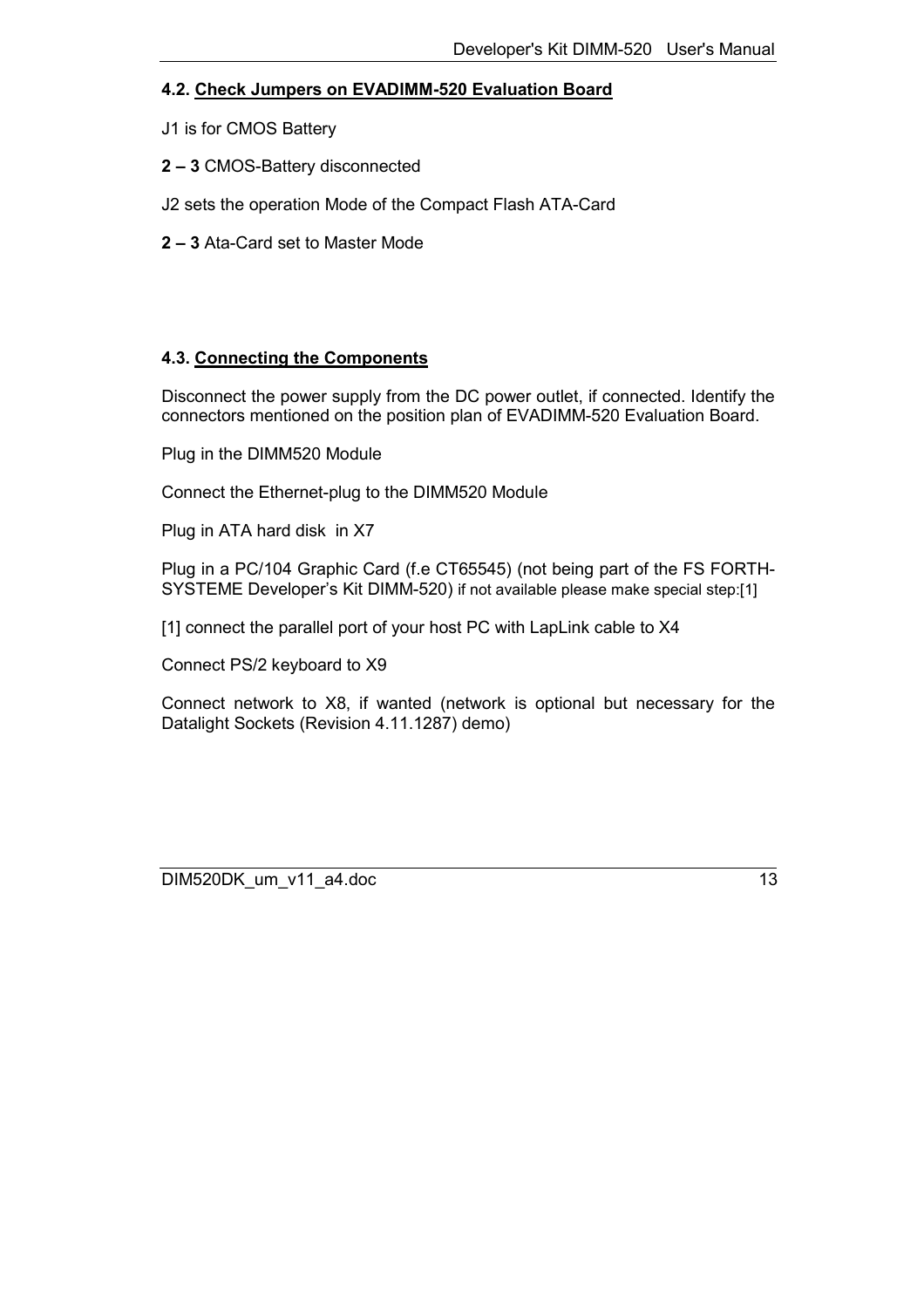#### <span id="page-12-0"></span>**4.2. Check Jumpers on EVADIMM-520 Evaluation Board**

J1 is for CMOS Battery

**2 – 3** CMOS-Battery disconnected

J2 sets the operation Mode of the Compact Flash ATA-Card

**2 – 3** Ata-Card set to Master Mode

#### **4.3. Connecting the Components**

Disconnect the power supply from the DC power outlet, if connected. Identify the connectors mentioned on the position plan of EVADIMM-520 Evaluation Board.

Plug in the DIMM520 Module

Connect the Ethernet-plug to the DIMM520 Module

Plug in ATA hard disk in X7

Plug in a PC/104 Graphic Card (f.e CT65545) (not being part of the FS FORTH-SYSTEME Developer's Kit DIMM-520) if not available please make special step:[1]

[1] connect the parallel port of your host PC with LapLink cable to X4

Connect PS/2 keyboard to X9

Connect network to X8, if wanted (network is optional but necessary for the Datalight Sockets (Revision 4.11.1287) demo)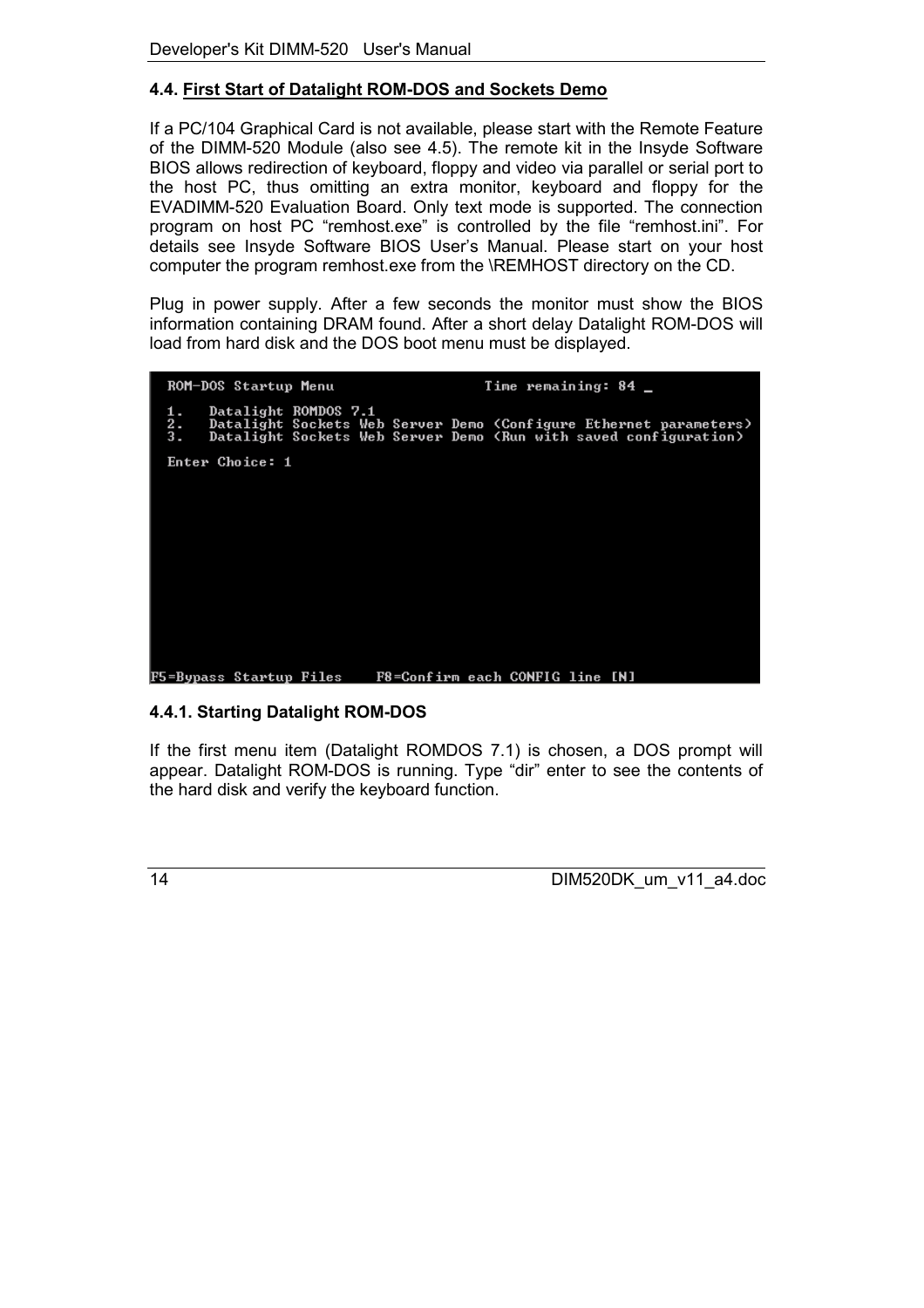## <span id="page-13-0"></span>**4.4. First Start of Datalight ROM-DOS and Sockets Demo**

If a PC/104 Graphical Card is not available, please start with the Remote Feature of the DIMM-520 Module (also see [4.5\)](#page-18-0). The remote kit in the Insyde Software BIOS allows redirection of keyboard, floppy and video via parallel or serial port to the host PC, thus omitting an extra monitor, keyboard and floppy for the EVADIMM-520 Evaluation Board. Only text mode is supported. The connection program on host PC "remhost.exe" is controlled by the file "remhost.ini". For details see Insyde Software BIOS User's Manual. Please start on your host computer the program remhost.exe from the \REMHOST directory on the CD.

Plug in power supply. After a few seconds the monitor must show the BIOS information containing DRAM found. After a short delay Datalight ROM-DOS will load from hard disk and the DOS boot menu must be displayed.



#### **4.4.1. Starting Datalight ROM-DOS**

If the first menu item (Datalight ROMDOS 7.1) is chosen, a DOS prompt will appear. Datalight ROM-DOS is running. Type "dir" enter to see the contents of the hard disk and verify the keyboard function.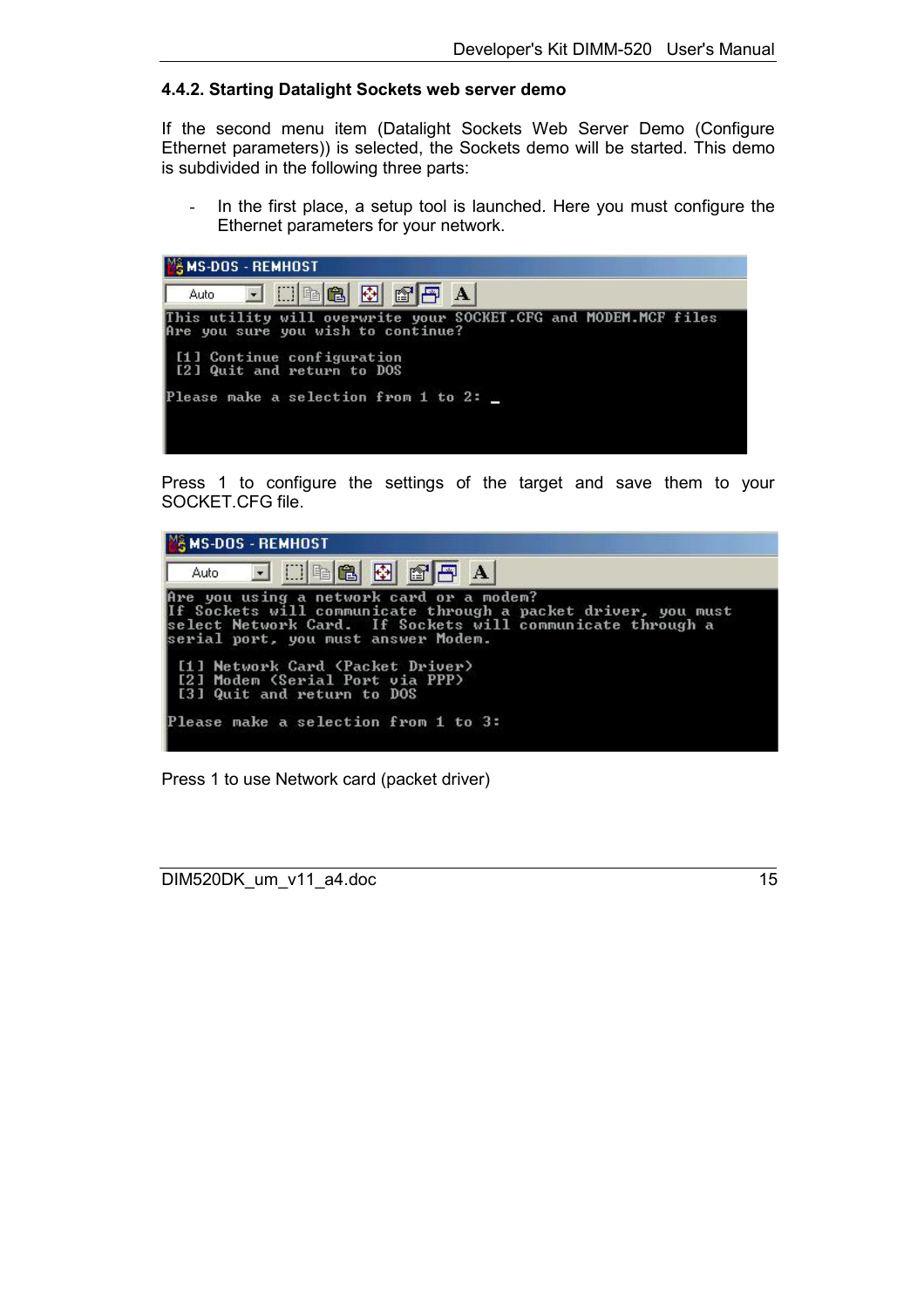#### <span id="page-14-0"></span>**4.4.2. Starting Datalight Sockets web server demo**

If the second menu item (Datalight Sockets Web Server Demo (Configure Ethernet parameters)) is selected, the Sockets demo will be started. This demo is subdivided in the following three parts:

In the first place, a setup tool is launched. Here you must configure the Ethernet parameters for your network.



Press 1 to configure the settings of the target and save them to your SOCKET.CFG file.



Press 1 to use Network card (packet driver)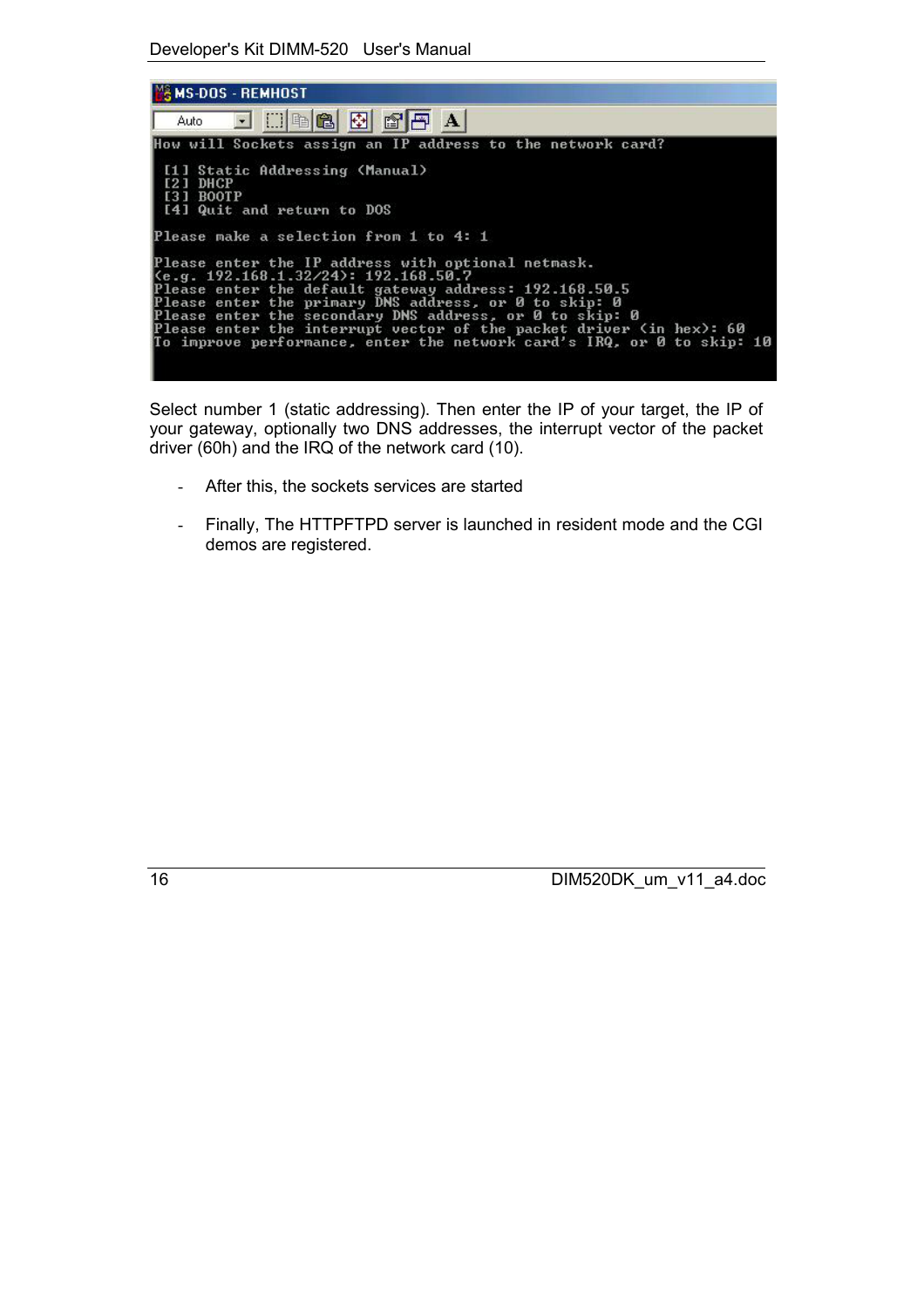Developer's Kit DIMM-520 User's Manual

| <b>M&amp; MS-DOS - REMHOST</b>                                                                                                                                                                                                                                                                                                                                                                                                         |
|----------------------------------------------------------------------------------------------------------------------------------------------------------------------------------------------------------------------------------------------------------------------------------------------------------------------------------------------------------------------------------------------------------------------------------------|
| Auto <b>FIDEGGGGGA</b>                                                                                                                                                                                                                                                                                                                                                                                                                 |
| How will Sockets assign an IP address to the network card?                                                                                                                                                                                                                                                                                                                                                                             |
| [1] Static Addressing (Manual)<br>[2] DHCP<br>[3] BOOTP<br>  [4] Quit and return to DOS                                                                                                                                                                                                                                                                                                                                                |
| Please make a selection from 1 to 4: 1                                                                                                                                                                                                                                                                                                                                                                                                 |
| Please enter the IP address with optional netmask.<br>$\kappa_{\rm e}$ . 192.168.1.32/24): 192.168.50.7<br>Please enter the default gateway address: 192.168.50.5<br>Please enter the primary DNS address, or 0 to skip: 0<br>Please enter the secondary DNS address, or 0 to skip: 0<br>Please enter the interrupt vector of the packet driver (in hex): 60<br>To improve performance, enter the network card's IRQ, or 0 to skip: 10 |

Select number 1 (static addressing). Then enter the IP of your target, the IP of your gateway, optionally two DNS addresses, the interrupt vector of the packet driver (60h) and the IRQ of the network card (10).

- After this, the sockets services are started
- Finally, The HTTPFTPD server is launched in resident mode and the CGI demos are registered.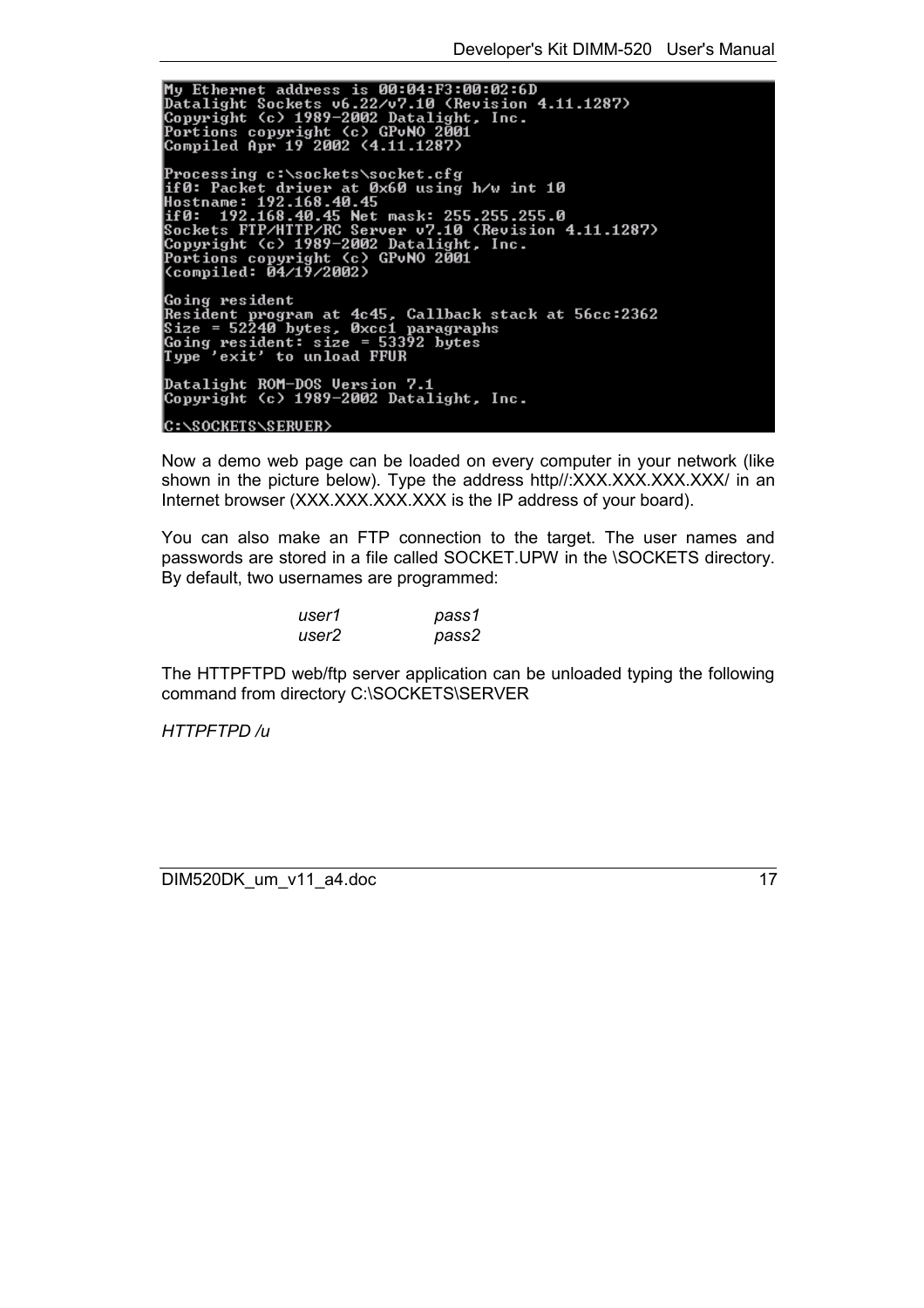My Ethernet address is 00:04:F3:00:02:6D<br>Datalight Sockets v6.22/v7.10 (Revision 4.11.1287)<br>Copyright (c) 1989-2002 Datalight, Inc.<br>Portions copyright (c) GPvNO 2001<br>Compiled Apr 19 2002 (4.11.1287) Somprica mpr 17 2002 \\till\12017<br>Processing c:\sockets\socket.cfg<br>if 0: Packet driver at 0x60 using h/w int 10<br>Hostname: 192.168.40.45<br>Sockets FTP/HTTP/RC Server v7.10 (Revision 4.11.1287)<br>Copyright (c) 1989-2002 Dataligh **Going resident** Going resident<br>Resident program at 4c45, Callback stack at 56cc:2362<br>Size = 52240 bytes, Øxcc1 paragraphs<br>Going resident: size = 53392 bytes<br>Type 'exit' to unload FFUR Datalight ROM-DOS Version 7.1<br>Copyright (c) 1989-2002 Datalight, Inc. C:\SOCKETS\SERUER>

Now a demo web page can be loaded on every computer in your network (like shown in the picture below). Type the address http//:XXX.XXX.XXX.XXX/ in an Internet browser (XXX.XXX.XXX.XXX is the IP address of your board).

You can also make an FTP connection to the target. The user names and passwords are stored in a file called SOCKET.UPW in the \SOCKETS directory. By default, two usernames are programmed:

| user1 | pass1 |
|-------|-------|
| user2 | pass2 |

The HTTPFTPD web/ftp server application can be unloaded typing the following command from directory C:\SOCKETS\SERVER

*HTTPFTPD /u*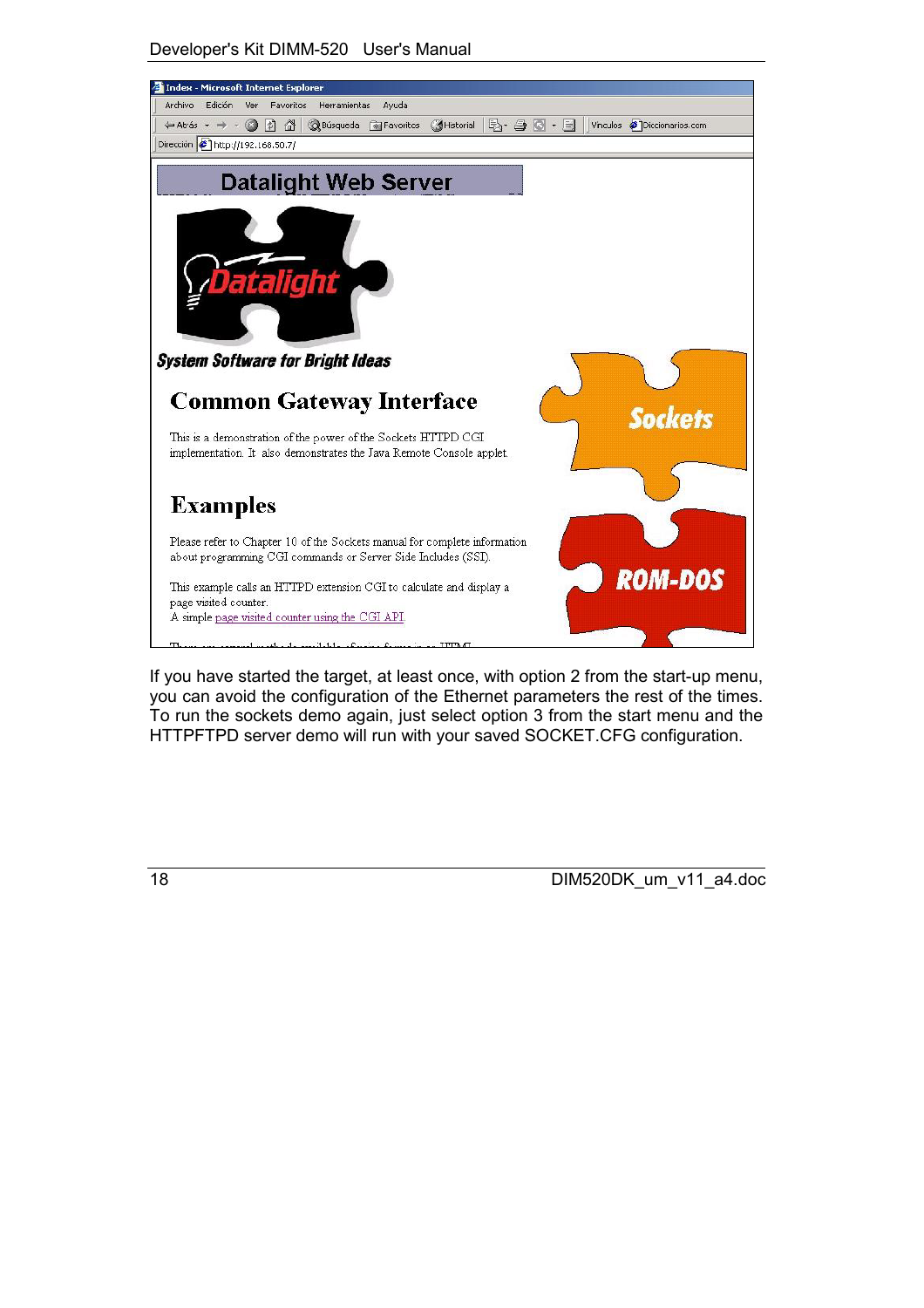



If you have started the target, at least once, with option 2 from the start-up menu, you can avoid the configuration of the Ethernet parameters the rest of the times. To run the sockets demo again, just select option 3 from the start menu and the HTTPFTPD server demo will run with your saved SOCKET.CFG configuration.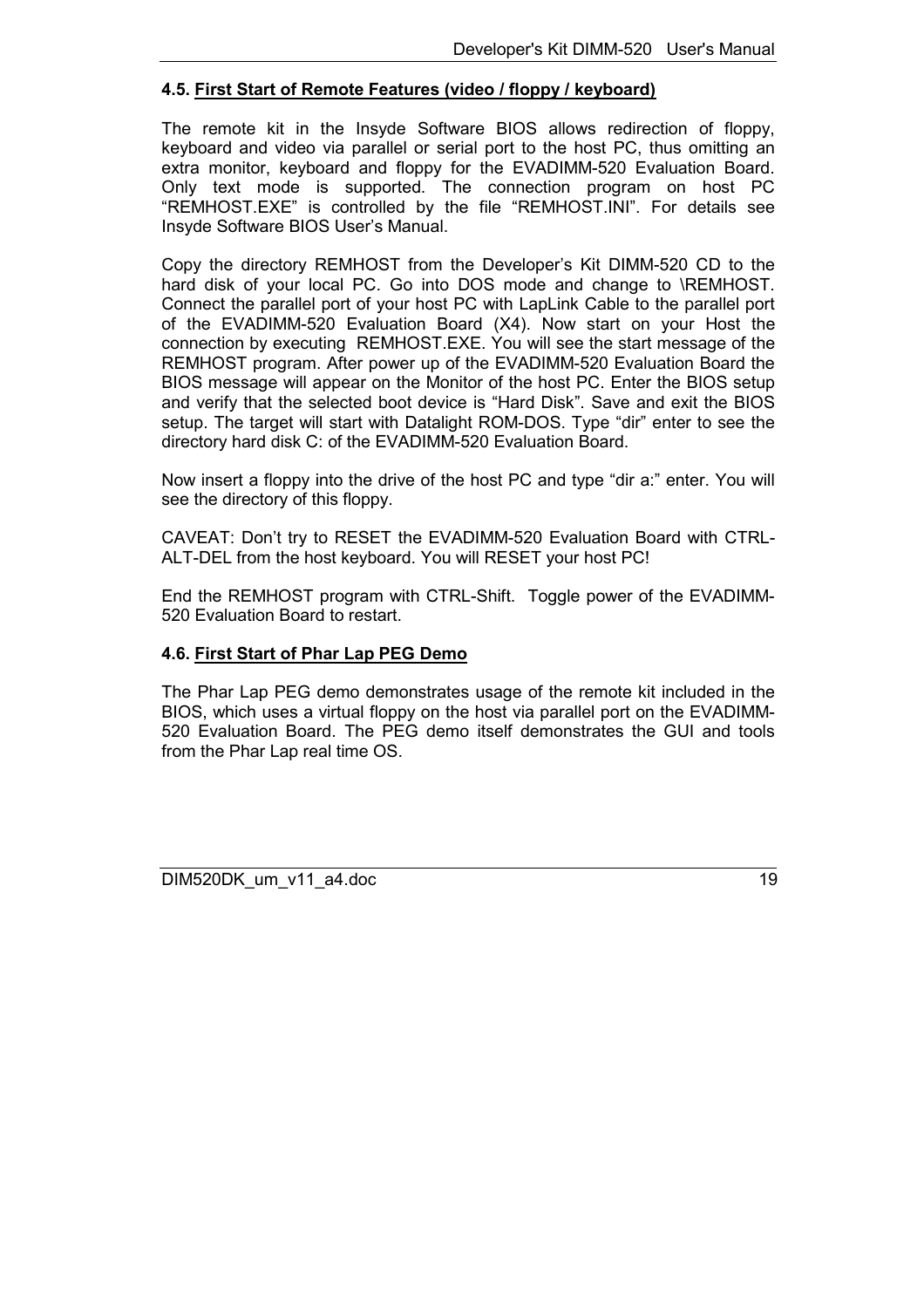#### <span id="page-18-0"></span>**4.5. First Start of Remote Features (video / floppy / keyboard)**

The remote kit in the Insyde Software BIOS allows redirection of floppy, keyboard and video via parallel or serial port to the host PC, thus omitting an extra monitor, keyboard and floppy for the EVADIMM-520 Evaluation Board. Only text mode is supported. The connection program on host PC "REMHOST.EXE" is controlled by the file "REMHOST.INI". For details see Insyde Software BIOS User's Manual.

Copy the directory REMHOST from the Developer's Kit DIMM-520 CD to the hard disk of your local PC. Go into DOS mode and change to \REMHOST. Connect the parallel port of your host PC with LapLink Cable to the parallel port of the EVADIMM-520 Evaluation Board (X4). Now start on your Host the connection by executing REMHOST.EXE. You will see the start message of the REMHOST program. After power up of the EVADIMM-520 Evaluation Board the BIOS message will appear on the Monitor of the host PC. Enter the BIOS setup and verify that the selected boot device is "Hard Disk". Save and exit the BIOS setup. The target will start with Datalight ROM-DOS. Type "dir" enter to see the directory hard disk C: of the EVADIMM-520 Evaluation Board.

Now insert a floppy into the drive of the host PC and type "dir a:" enter. You will see the directory of this floppy.

CAVEAT: Don't try to RESET the EVADIMM-520 Evaluation Board with CTRL-ALT-DEL from the host keyboard. You will RESET your host PC!

End the REMHOST program with CTRL-Shift. Toggle power of the EVADIMM-520 Evaluation Board to restart.

#### **4.6. First Start of Phar Lap PEG Demo**

The Phar Lap PEG demo demonstrates usage of the remote kit included in the BIOS, which uses a virtual floppy on the host via parallel port on the EVADIMM-520 Evaluation Board. The PEG demo itself demonstrates the GUI and tools from the Phar Lap real time OS.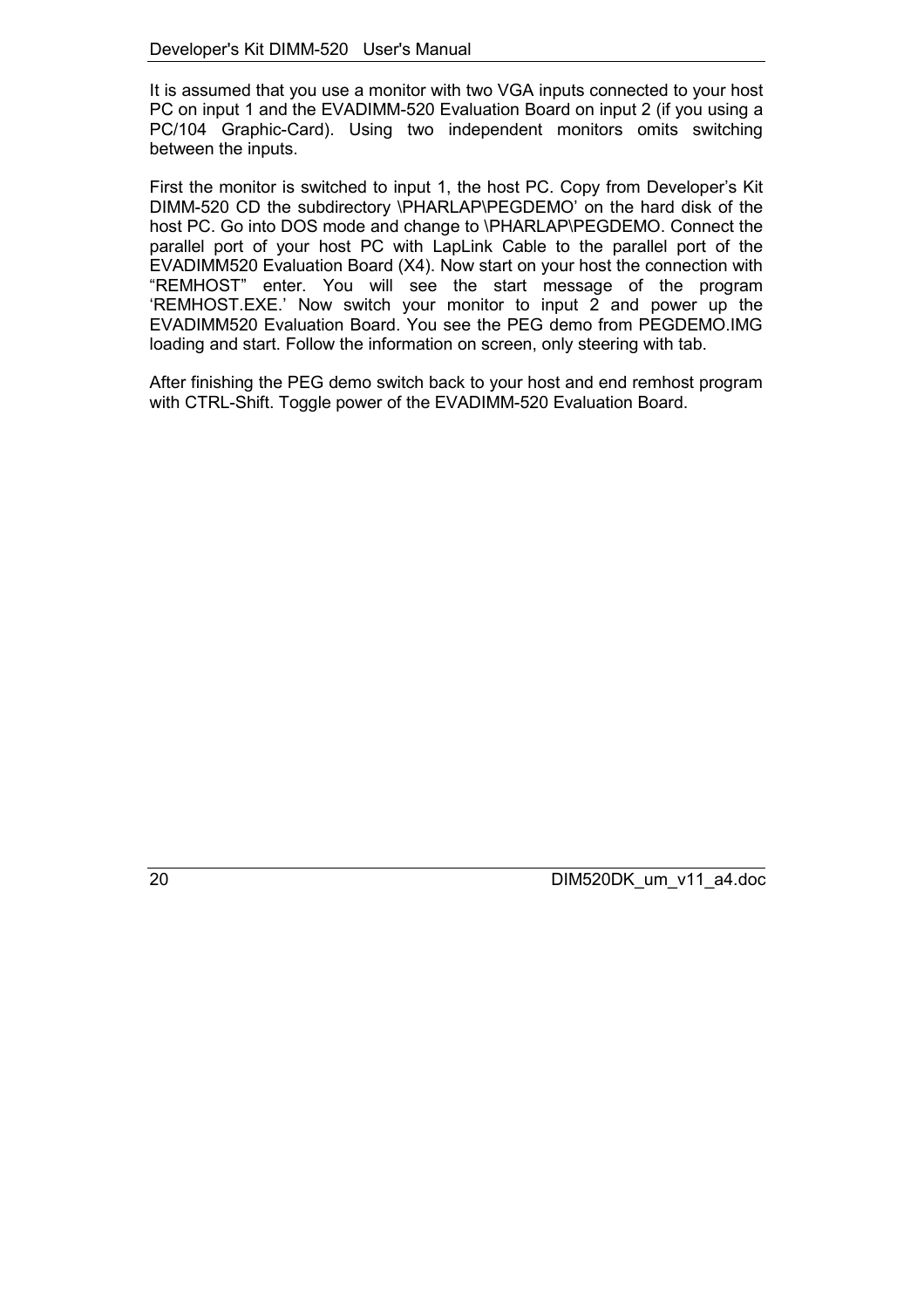It is assumed that you use a monitor with two VGA inputs connected to your host PC on input 1 and the EVADIMM-520 Evaluation Board on input 2 (if you using a PC/104 Graphic-Card). Using two independent monitors omits switching between the inputs.

First the monitor is switched to input 1, the host PC. Copy from Developer's Kit DIMM-520 CD the subdirectory \PHARLAP\PEGDEMO' on the hard disk of the host PC. Go into DOS mode and change to \PHARLAP\PEGDEMO. Connect the parallel port of your host PC with LapLink Cable to the parallel port of the EVADIMM520 Evaluation Board (X4). Now start on your host the connection with "REMHOST" enter. You will see the start message of the program 'REMHOST.EXE.' Now switch your monitor to input 2 and power up the EVADIMM520 Evaluation Board. You see the PEG demo from PEGDEMO.IMG loading and start. Follow the information on screen, only steering with tab.

After finishing the PEG demo switch back to your host and end remhost program with CTRL-Shift. Toggle power of the EVADIMM-520 Evaluation Board.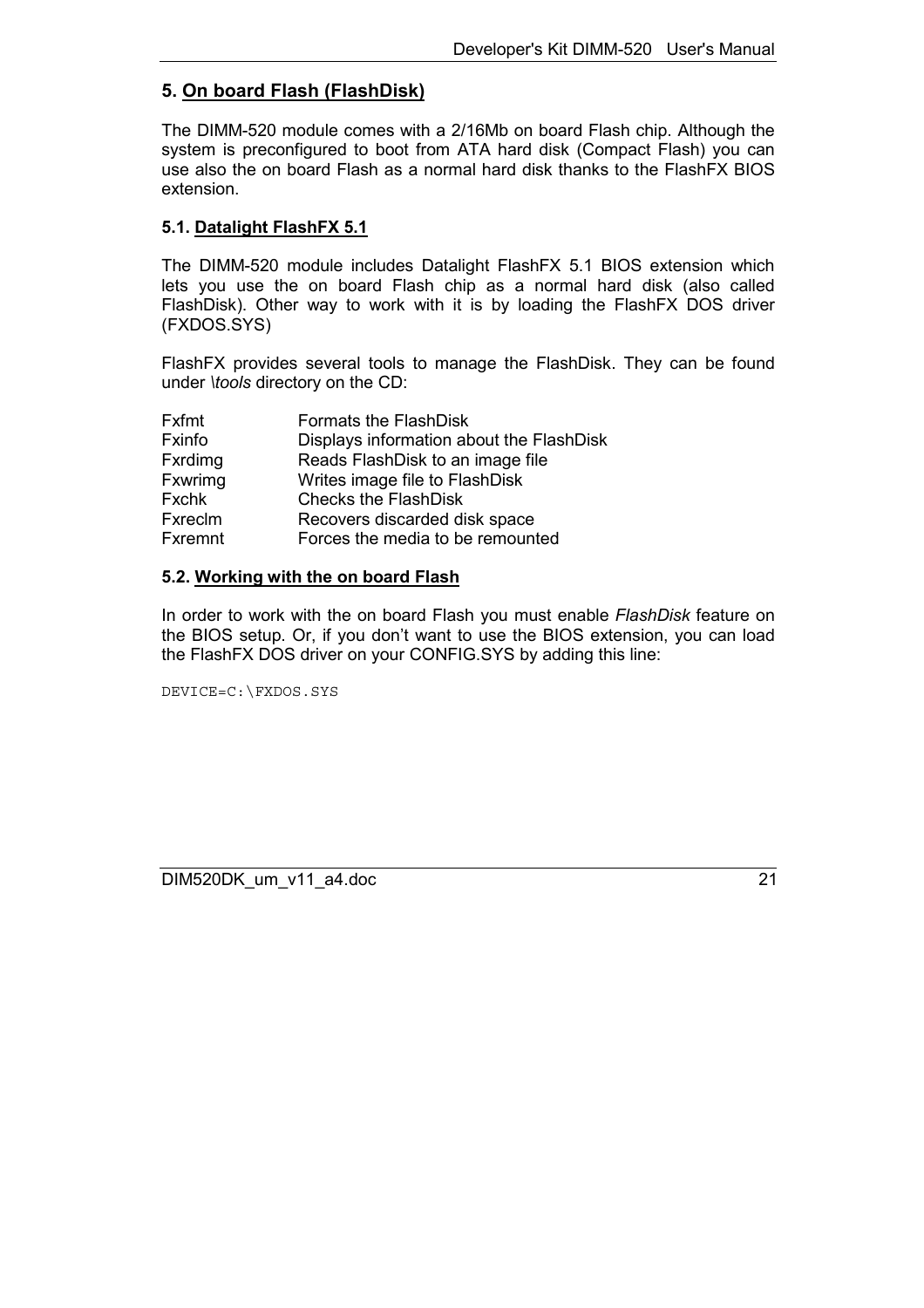# <span id="page-20-0"></span>**5. On board Flash (FlashDisk)**

The DIMM-520 module comes with a 2/16Mb on board Flash chip. Although the system is preconfigured to boot from ATA hard disk (Compact Flash) you can use also the on board Flash as a normal hard disk thanks to the FlashFX BIOS extension.

#### **5.1. Datalight FlashFX 5.1**

The DIMM-520 module includes Datalight FlashFX 5.1 BIOS extension which lets you use the on board Flash chip as a normal hard disk (also called FlashDisk). Other way to work with it is by loading the FlashFX DOS driver (FXDOS.SYS)

FlashFX provides several tools to manage the FlashDisk. They can be found under *\tools* directory on the CD:

| <b>Fxfmt</b>   | Formats the FlashDisk                    |
|----------------|------------------------------------------|
| Fxinfo         | Displays information about the FlashDisk |
| <b>Fxrdimg</b> | Reads FlashDisk to an image file         |
| <b>Fxwrimg</b> | Writes image file to FlashDisk           |
| <b>Fxchk</b>   | <b>Checks the FlashDisk</b>              |
| Fxreclm        | Recovers discarded disk space            |
| <b>Fxremnt</b> | Forces the media to be remounted         |

#### **5.2. Working with the on board Flash**

In order to work with the on board Flash you must enable *FlashDisk* feature on the BIOS setup. Or, if you don't want to use the BIOS extension, you can load the FlashFX DOS driver on your CONFIG.SYS by adding this line:

DEVICE=C:\FXDOS.SYS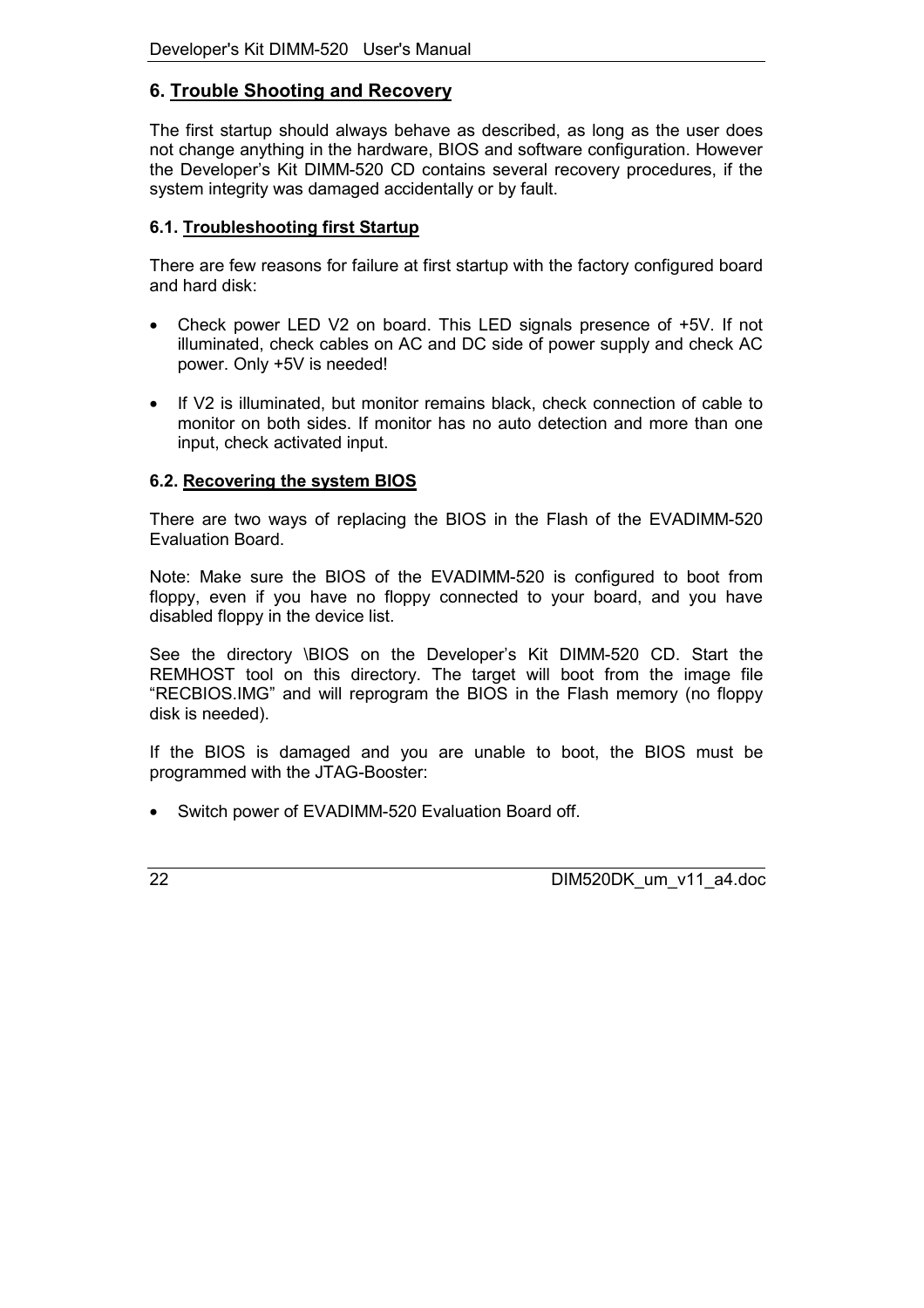# <span id="page-21-0"></span>**6. Trouble Shooting and Recovery**

The first startup should always behave as described, as long as the user does not change anything in the hardware, BIOS and software configuration. However the Developer's Kit DIMM-520 CD contains several recovery procedures, if the system integrity was damaged accidentally or by fault.

## **6.1. Troubleshooting first Startup**

There are few reasons for failure at first startup with the factory configured board and hard disk:

- Check power LED V2 on board. This LED signals presence of +5V. If not illuminated, check cables on AC and DC side of power supply and check AC power. Only +5V is needed!
- If V2 is illuminated, but monitor remains black, check connection of cable to monitor on both sides. If monitor has no auto detection and more than one input, check activated input.

# **6.2. Recovering the system BIOS**

There are two ways of replacing the BIOS in the Flash of the EVADIMM-520 Evaluation Board.

Note: Make sure the BIOS of the EVADIMM-520 is configured to boot from floppy, even if you have no floppy connected to your board, and you have disabled floppy in the device list.

See the directory \BIOS on the Developer's Kit DIMM-520 CD. Start the REMHOST tool on this directory. The target will boot from the image file "RECBIOS.IMG" and will reprogram the BIOS in the Flash memory (no floppy disk is needed).

If the BIOS is damaged and you are unable to boot, the BIOS must be programmed with the JTAG-Booster:

• Switch power of EVADIMM-520 Evaluation Board off.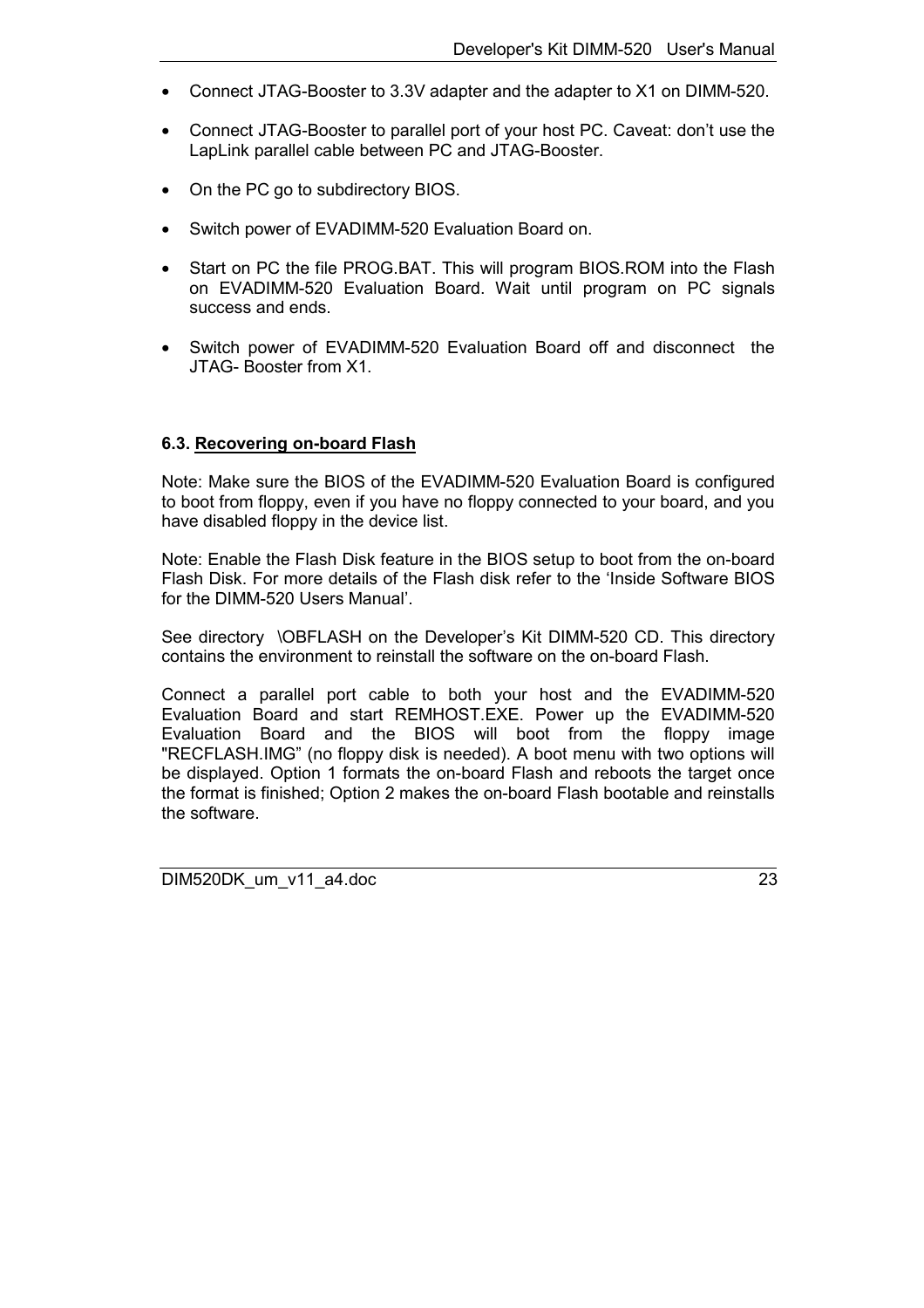- <span id="page-22-0"></span>• Connect JTAG-Booster to 3.3V adapter and the adapter to X1 on DIMM-520.
- Connect JTAG-Booster to parallel port of your host PC. Caveat: don't use the LapLink parallel cable between PC and JTAG-Booster.
- On the PC go to subdirectory BIOS.
- Switch power of EVADIMM-520 Evaluation Board on.
- Start on PC the file PROG.BAT. This will program BIOS.ROM into the Flash on EVADIMM-520 Evaluation Board. Wait until program on PC signals success and ends.
- Switch power of EVADIMM-520 Evaluation Board off and disconnect the JTAG- Booster from X1.

#### **6.3. Recovering on-board Flash**

Note: Make sure the BIOS of the EVADIMM-520 Evaluation Board is configured to boot from floppy, even if you have no floppy connected to your board, and you have disabled floppy in the device list.

Note: Enable the Flash Disk feature in the BIOS setup to boot from the on-board Flash Disk. For more details of the Flash disk refer to the 'Inside Software BIOS for the DIMM-520 Users Manual'.

See directory \OBFLASH on the Developer's Kit DIMM-520 CD. This directory contains the environment to reinstall the software on the on-board Flash.

Connect a parallel port cable to both your host and the EVADIMM-520 Evaluation Board and start REMHOST.EXE. Power up the EVADIMM-520 Evaluation Board and the BIOS will boot from the floppy image "RECFLASH.IMG" (no floppy disk is needed). A boot menu with two options will be displayed. Option 1 formats the on-board Flash and reboots the target once the format is finished; Option 2 makes the on-board Flash bootable and reinstalls the software.